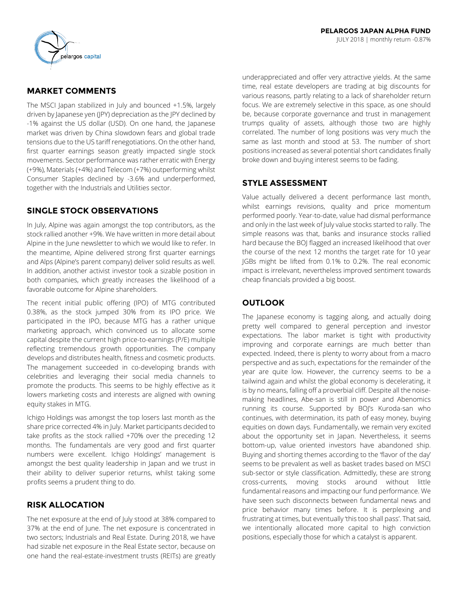## **MARKET COMMENTS**

The MSCI Japan stabilized in July and bounced +1.5%, largely driven by Japanese yen (JPY) depreciation as the JPY declined by -1% against the US dollar (USD). On one hand, the Japanese market was driven by China slowdown fears and global trade tensions due to the US tariff renegotiations. On the other hand, first quarter earnings season greatly impacted single stock movements. Sector performance was rather erratic with Energy (+9%), Materials (+4%) and Telecom (+7%) outperforming whilst Consumer Staples declined by -3.6% and underperformed, together with the Industrials and Utilities sector.

## **SINGLE STOCK OBSERVATIONS**

In July, Alpine was again amongst the top contributors, as the stock rallied another +9%. We have written in more detail about Alpine in the June newsletter to which we would like to refer. In the meantime, Alpine delivered strong first quarter earnings and Alps (Alpine's parent company) deliver solid results as well. In addition, another activist investor took a sizable position in both companies, which greatly increases the likelihood of a favorable outcome for Alpine shareholders.

The recent initial public offering (IPO) of MTG contributed 0.38%, as the stock jumped 30% from its IPO price. We participated in the IPO, because MTG has a rather unique marketing approach, which convinced us to allocate some capital despite the current high price-to-earnings (P/E) multiple reflecting tremendous growth opportunities. The company develops and distributes health, fitness and cosmetic products. The management succeeded in co-developing brands with celebrities and leveraging their social media channels to promote the products. This seems to be highly effective as it lowers marketing costs and interests are aligned with owning equity stakes in MTG.

Ichigo Holdings was amongst the top losers last month as the share price corrected 4% in July. Market participants decided to take profits as the stock rallied +70% over the preceding 12 months. The fundamentals are very good and first quarter numbers were excellent. Ichigo Holdings' management is amongst the best quality leadership in Japan and we trust in their ability to deliver superior returns, whilst taking some profits seems a prudent thing to do.

# **RISK ALLOCATION**

The net exposure at the end of July stood at 38% compared to 37% at the end of June. The net exposure is concentrated in two sectors; Industrials and Real Estate. During 2018, we have had sizable net exposure in the Real Estate sector, because on one hand the real-estate-investment trusts (REITs) are greatly underappreciated and offer very attractive yields. At the same time, real estate developers are trading at big discounts for various reasons, partly relating to a lack of shareholder return focus. We are extremely selective in this space, as one should be, because corporate governance and trust in management trumps quality of assets, although those two are highly correlated. The number of long positions was very much the same as last month and stood at 53. The number of short positions increased as several potential short candidates finally broke down and buying interest seems to be fading.

# **STYLE ASSESSMENT**

Value actually delivered a decent performance last month, whilst earnings revisions, quality and price momentum performed poorly. Year-to-date, value had dismal performance and only in the last week of July value stocks started to rally. The simple reasons was that, banks and insurance stocks rallied hard because the BOJ flagged an increased likelihood that over the course of the next 12 months the target rate for 10 year JGBs might be lifted from 0.1% to 0.2%. The real economic impact is irrelevant, nevertheless improved sentiment towards cheap financials provided a big boost.

## **OUTLOOK**

The Japanese economy is tagging along, and actually doing pretty well compared to general perception and investor expectations. The labor market is tight with productivity improving and corporate earnings are much better than expected. Indeed, there is plenty to worry about from a macro perspective and as such, expectations for the remainder of the year are quite low. However, the currency seems to be a tailwind again and whilst the global economy is decelerating, it is by no means, falling off a proverbial cliff. Despite all the noisemaking headlines, Abe-san is still in power and Abenomics running its course. Supported by BOJ's Kuroda-san who continues, with determination, its path of easy money, buying equities on down days. Fundamentally, we remain very excited about the opportunity set in Japan. Nevertheless, it seems bottom-up, value oriented investors have abandoned ship. Buying and shorting themes according to the 'flavor of the day' seems to be prevalent as well as basket trades based on MSCI sub-sector or style classification. Admittedly, these are strong cross-currents, moving stocks around without little fundamental reasons and impacting our fund performance. We have seen such disconnects between fundamental news and price behavior many times before. It is perplexing and frustrating at times, but eventually 'this too shall pass'. That said, we intentionally allocated more capital to high conviction positions, especially those for which a catalyst is apparent.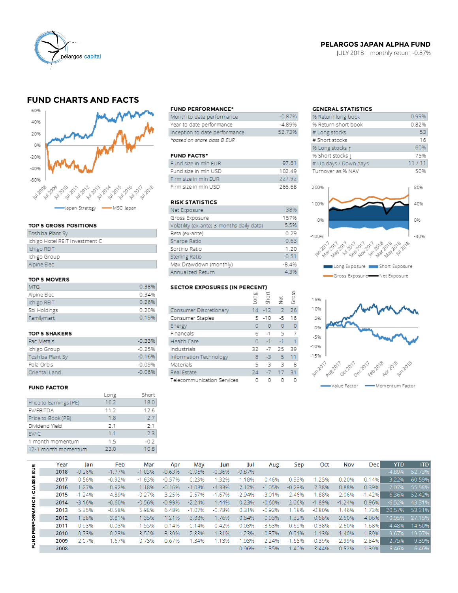

## **PELARGOS JAPAN ALPHA FUND**

JULY 2018 | monthly return -0.87%

## **FUND CHARTS AND FACTS**



#### TOP 5 GROSS POSITIONS

| Toshiba Plant Sy               |
|--------------------------------|
| Ichigo Hotel REIT Investment C |
| Ichigo REIT                    |
| Ichigo Group                   |
| Alpine Elec                    |
|                                |

### TOP 5 MOVERS

| MTG.         | 0.38% |
|--------------|-------|
| Alpine Elec  | 0.34% |
| Ichigo REIT  | 0.26% |
| Sbi Holdings | 0.20% |
| Familymart   | 0.19% |

#### TOP 5 SHAKERS

| Pac Metals       | $-0.33%$ |
|------------------|----------|
| Ichigo Group     | $-0.25%$ |
| Toshiba Plant Sy | $-0.16%$ |
| Pola Orbis       | $-0.09%$ |
| Oriental Land    | $-0.06%$ |

#### **FUND FACTOR**

|                        | Long | Short  |
|------------------------|------|--------|
| Price to Earnings (PE) | 16.2 | 18.0   |
| EV/EBITDA              | 11.2 | 12.6   |
| Price to Book (PB)     | 1.8  | 2.7    |
| Dividend Yield         | 2.1  | 2.1    |
| EV/IC                  | 1.1  | 2.3    |
| 1 month momentum       | 1.5  | $-0.2$ |
| 12-1 month momentum    | 23.0 | 10.8   |
|                        |      |        |

#### **FUND PERFORMANCE\***

| Month to date performance     | $-0.87%$ |
|-------------------------------|----------|
| Year to date performance      | $-4.89%$ |
| Inception to date performance | 52.73%   |
| *based on share class B EUR   |          |

#### **FUND FACTS\***

| Fund size in min EUR | 97.61  |
|----------------------|--------|
| Fund size in mln USD | 102.49 |
| Firm size in min EUR | 227.92 |
| Firm size in mln USD | 266.68 |

## **RISK STATISTICS**

| Net Exposure                              | 38%     |
|-------------------------------------------|---------|
| Gross Exposure                            | 157%    |
| Volatility (ex-ante; 3 months daily data) | 5.5%    |
| Beta (ex-ante)                            | 0.29    |
| Sharpe Ratio                              | 0.63    |
| Sortino Ratio                             | 1.20    |
| Sterling Ratio                            | 0.51    |
| Max Drawdown (monthly)                    | $-8.4%$ |
| Annualized Return                         | 4.3%    |

# SECTOR EXPOSURES (IN PERCENT)

|                            | Ĕ  | Ğ<br>Shōi | 흋         | Ğ  |
|----------------------------|----|-----------|-----------|----|
| Consumer Discretionary     |    | $14 - 12$ | -2        | 26 |
| Consumer Staples           |    | 5 - 10    | $-5$      | 16 |
| Energy                     | O  | $\circ$   | $\bullet$ | O  |
| Financials                 | б  | $-1$      | -5        |    |
| <b>Health Care</b>         | O  | $-1$      | $-1$      | 1  |
| Industrials                | 32 | $-7$      | 25        | 39 |
| Information Technology     | 8  | -3        | 5         | 11 |
| Materials                  | 5  | -3.       | 3         | 8  |
| Real Estate                | 24 |           | $-7$ 17   | 31 |
| Telecommunication Services |    |           | O         |    |

 $\overline{2}$ 

## **GENERAL STATISTICS**

| % Return long book    | 0.99% |
|-----------------------|-------|
| % Return short book   | 0.82% |
| # Long stocks         | 53    |
| # Short stocks        | 16    |
| % Long stocks 1       | 60%   |
| % Short stocks [      | 75%   |
| # Up days / Down days | 11/11 |
| Turnover as % NAV     | 50%   |
|                       |       |
| 200%                  | 80%   |





|                     | Year | lan      | Feb      | Mar      | Apr      | May      | Jun      | Jul      | Aug      | Sep      | Oct      | Nov      | Dec      | YTD      | <b>ITD</b> |
|---------------------|------|----------|----------|----------|----------|----------|----------|----------|----------|----------|----------|----------|----------|----------|------------|
| 틦<br><b>CLASS B</b> | 2018 | $-0.26%$ | $-1.77%$ | $-1.03%$ | $-0.63%$ | $-0.06%$ | $-0.36%$ | $-0.87%$ |          |          |          |          |          | $-4.89%$ | 52.73%     |
|                     | 2017 | 0.56%    | $-0.92%$ | $-1.63%$ | $-0.57%$ | 0.23%    | 1.32%    | 1.18%    | 0.46%    | 0.99%    | 1.25%    | 0.20%    | 0.14%    | 3.22%    | 60.59%     |
|                     | 2016 | 1.27%    | 0.92%    | 1.18%    | $-0.16%$ | $-1.08%$ | $-4.33%$ | 2.12%    | $-1.05%$ | $-0.29%$ | 2.38%    | 0.88%    | 0.39%    | 2.07%    | 55.58%     |
| FUND PERFORMANCE:   | 2015 | $-1.24%$ | 4.89%    | $-0.27%$ | 3.25%    | 2.57%    | $-1.67%$ | $-2.94%$ | $-3.01%$ | 2.46%    | 1.88%    | 2.06%    | $-1.42%$ | 6.36%    | 52.42%     |
|                     | 2014 | $-3.16%$ | $-0.60%$ | $-0.56%$ | $-0.99%$ | $-2.24%$ | 1.44%    | 0.23%    | $-0.60%$ | 2.06%    | $-1.89%$ | $-1.24%$ | 0.96%    | $-6.52%$ | 43.31%     |
|                     | 2013 | 5.35%    | $-0.58%$ | 6.98%    | 6.48%    | $-1.07%$ | $-0.78%$ | 0.31%    | $-0.92%$ | 1.18%    | $-0.80%$ | 1.46%    | 1.73%    | 20.57%   | 53.31%     |
|                     | 2012 | $-1.38%$ | 3.81%    | 1.35%    | $-1.21%$ | $-3.83%$ | 1.76%    | 0.84%    | 0.93%    | 1.32%    | 0.58%    | 2.50%    | 4.06%    | 10.95%   | 27.15%     |
|                     | 2011 | 0.93%    | $-0.03%$ | $-1.55%$ | 0.14%    | $-0.14%$ | 0.42%    | 0.03%    | $-3.63%$ | 0.69%    | $-0.38%$ | $-2.60%$ | .68%     | $-4.48%$ | 14.60%     |
|                     | 2010 | 0.73%    | $-0.23%$ | 3.52%    | 3.39%    | $-2.83%$ | $-1.31%$ | 1.23%    | $-0.37%$ | 0.91%    | 1.13%    | 1.40%    | 1.89%    | 9.67%    | 19.97%     |
|                     | 2009 | 2.07%    | 1.67%    | $-0.73%$ | $-0.67%$ | 1.34%    | 1.13%    | $-1.93%$ | 2.24%    | $-1.68%$ | $-0.39%$ | $-2.99%$ | 2.84%    | 2.75%    | 9.39%      |
|                     | 2008 |          |          |          |          |          |          | 0.96%    | $-1.35%$ | .40%     | 3.44%    | 0.52%    | 1.39%    | 6.46%    | 6.46%      |